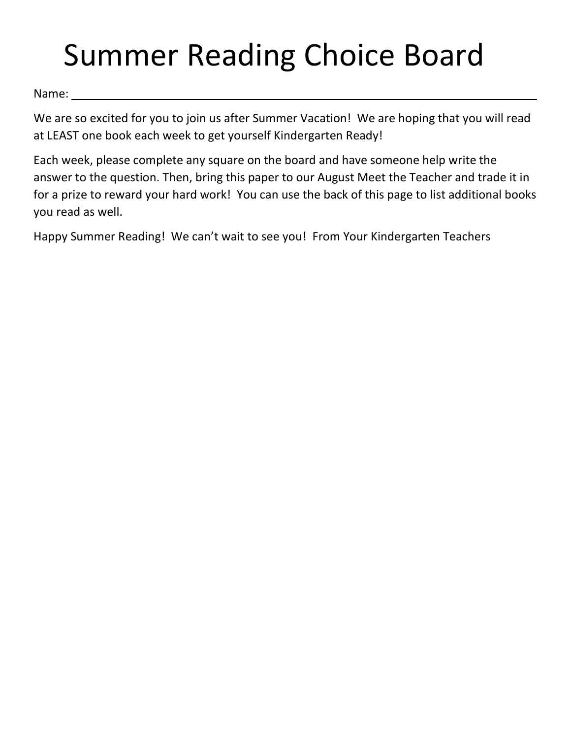## Summer Reading Choice Board

Name:

We are so excited for you to join us after Summer Vacation! We are hoping that you will read at LEAST one book each week to get yourself Kindergarten Ready!

Each week, please complete any square on the board and have someone help write the answer to the question. Then, bring this paper to our August Meet the Teacher and trade it in for a prize to reward your hard work! You can use the back of this page to list additional books you read as well.

Happy Summer Reading! We can't wait to see you! From Your Kindergarten Teachers